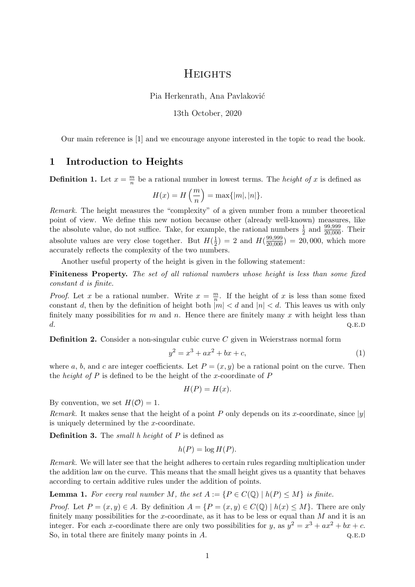## **HEIGHTS**

Pia Herkenrath, Ana Pavlaković

13th October, 2020

Our main reference is [1] and we encourage anyone interested in the topic to read the book.

## 1 Introduction to Heights

**Definition 1.** Let  $x = \frac{m}{n}$  $\frac{m}{n}$  be a rational number in lowest terms. The *height of x* is defined as

$$
H(x) = H\left(\frac{m}{n}\right) = \max\{|m|, |n|\}.
$$

Remark. The height measures the "complexity" of a given number from a number theoretical point of view. We define this new notion because other (already well-known) measures, like the absolute value, do not suffice. Take, for example, the rational numbers  $\frac{1}{2}$  and  $\frac{99,999}{20,000}$ . Their absolute values are very close together. But  $H(\frac{1}{2})$  $(\frac{1}{2})$  = 2 and  $H(\frac{99,999}{20,000})$  = 20,000, which more accurately reflects the complexity of the two numbers.

Another useful property of the height is given in the following statement:

Finiteness Property. The set of all rational numbers whose height is less than some fixed constant d is finite.

*Proof.* Let x be a rational number. Write  $x = \frac{m}{n}$  $\frac{m}{n}$ . If the height of x is less than some fixed constant d, then by the definition of height both  $|m| < d$  and  $|n| < d$ . This leaves us with only finitely many possibilities for m and n. Hence there are finitely many x with height less than  $d.$  Q.E.D

**Definition 2.** Consider a non-singular cubic curve  $C$  given in Weierstrass normal form

$$
y^2 = x^3 + ax^2 + bx + c,\tag{1}
$$

where a, b, and c are integer coefficients. Let  $P = (x, y)$  be a rational point on the curve. Then the *height of*  $P$  is defined to be the height of the x-coordinate of  $P$ 

$$
H(P) = H(x).
$$

By convention, we set  $H(\mathcal{O}) = 1$ .

*Remark.* It makes sense that the height of a point P only depends on its x-coordinate, since  $|y|$ is uniquely determined by the x-coordinate.

**Definition 3.** The *small* h height of  $P$  is defined as

$$
h(P) = \log H(P).
$$

Remark. We will later see that the height adheres to certain rules regarding multiplication under the addition law on the curve. This means that the small height gives us a quantity that behaves according to certain additive rules under the addition of points.

**Lemma 1.** For every real number M, the set  $A := \{P \in C(\mathbb{Q}) \mid h(P) \leq M\}$  is finite.

*Proof.* Let  $P = (x, y) \in A$ . By definition  $A = \{P = (x, y) \in C(\mathbb{Q}) \mid h(x) \leq M\}$ . There are only finitely many possibilities for the x-coordinate, as it has to be less or equal than  $M$  and it is an integer. For each x-coordinate there are only two possibilities for y, as  $y^2 = x^3 + ax^2 + bx + c$ . So, in total there are finitely many points in  $A$ . Q.E.D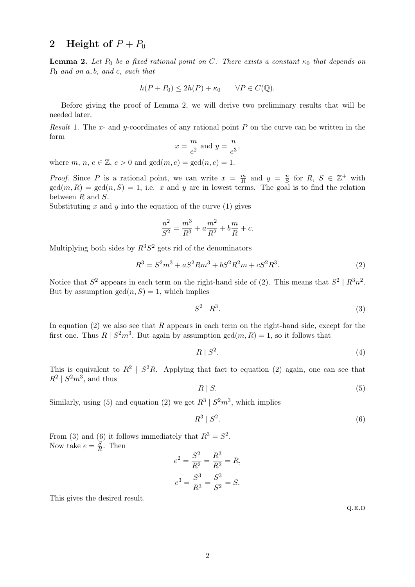## 2 Height of  $P + P_0$

**Lemma 2.** Let  $P_0$  be a fixed rational point on C. There exists a constant  $\kappa_0$  that depends on  $P_0$  and on a, b, and c, such that

$$
h(P + P_0) \le 2h(P) + \kappa_0 \qquad \forall P \in C(\mathbb{Q}).
$$

Before giving the proof of Lemma 2, we will derive two preliminary results that will be needed later.

Result 1. The x- and y-coordinates of any rational point P on the curve can be written in the form

$$
x = \frac{m}{e^2} \text{ and } y = \frac{n}{e^3},
$$

where m, n,  $e \in \mathbb{Z}$ ,  $e > 0$  and  $gcd(m, e) = gcd(n, e) = 1$ .

*Proof.* Since P is a rational point, we can write  $x = \frac{m}{R}$  $\frac{m}{R}$  and  $y = \frac{n}{S}$  $\frac{n}{S}$  for  $R, S \in \mathbb{Z}^+$  with  $gcd(m, R) = gcd(n, S) = 1$ , i.e. x and y are in lowest terms. The goal is to find the relation between R and S.

Substituting x and y into the equation of the curve  $(1)$  gives

$$
\frac{n^2}{S^2} = \frac{m^3}{R^3} + a\frac{m^2}{R^2} + b\frac{m}{R} + c.
$$

Multiplying both sides by  $R^3S^2$  gets rid of the denominators

$$
R^3 = S^2m^3 + aS^2Rm^3 + bS^2R^2m + cS^2R^3.
$$
 (2)

Notice that  $S^2$  appears in each term on the right-hand side of (2). This means that  $S^2 \mid R^3 n^2$ . But by assumption  $gcd(n, S) = 1$ , which implies

$$
S^2 \mid R^3. \tag{3}
$$

In equation  $(2)$  we also see that R appears in each term on the right-hand side, except for the first one. Thus  $R | S^2m^3$ . But again by assumption  $gcd(m, R) = 1$ , so it follows that

$$
R \mid S^2. \tag{4}
$$

This is equivalent to  $R^2 \mid S^2R$ . Applying that fact to equation (2) again, one can see that  $R^2 \mid S^2m^3$ , and thus

$$
R \mid S. \tag{5}
$$

Similarly, using (5) and equation (2) we get  $R^3 | S^2 m^3$ , which implies

$$
R^3 \mid S^2. \tag{6}
$$

From (3) and (6) it follows immediately that  $R^3 = S^2$ . Now take  $e = \frac{S}{B}$  $\frac{S}{R}$ . Then

$$
e^{2} = \frac{S^{2}}{R^{2}} = \frac{R^{3}}{R^{2}} = R,
$$

$$
e^{3} = \frac{S^{3}}{R^{3}} = \frac{S^{3}}{S^{2}} = S.
$$

This gives the desired result.

 $Q.E.D$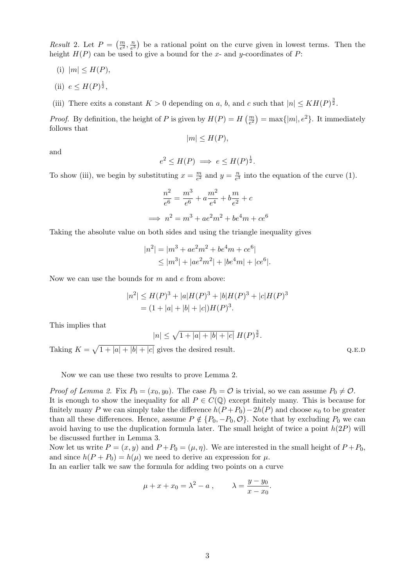*Result* 2. Let  $P = \left(\frac{m}{e^2}, \frac{n}{e^3}\right)$  $\frac{n}{e^3}$ ) be a rational point on the curve given in lowest terms. Then the height  $H(P)$  can be used to give a bound for the x- and y-coordinates of P:

- (i)  $|m| \leq H(P)$ ,
- (ii)  $e \leq H(P)^{\frac{1}{2}},$
- (iii) There exits a constant  $K > 0$  depending on a, b, and c such that  $|n| \leq KH(P)^{\frac{3}{2}}$ .

*Proof.* By definition, the height of P is given by  $H(P) = H\left(\frac{m}{e^2}\right) = \max\{|m|, e^2\}$ . It immediately follows that

 $|m| \leq H(P)$ ,

and

$$
e^2 \le H(P) \implies e \le H(P)^{\frac{1}{2}}.
$$

To show (iii), we begin by substituting  $x = \frac{m}{e^2}$  $\frac{m}{e^2}$  and  $y = \frac{n}{e^3}$  $\frac{n}{e^3}$  into the equation of the curve (1).

$$
\frac{n^2}{e^6} = \frac{m^3}{e^6} + a\frac{m^2}{e^4} + b\frac{m}{e^2} + c
$$
  

$$
\implies n^2 = m^3 + ae^2m^2 + be^4m + ce^6
$$

Taking the absolute value on both sides and using the triangle inequality gives

$$
|n^{2}| = |m^{3} + ae^{2}m^{2} + be^{4}m + ce^{6}|
$$
  
\n
$$
\leq |m^{3}| + |ae^{2}m^{2}| + |be^{4}m| + |ce^{6}|.
$$

Now we can use the bounds for  $m$  and  $e$  from above:

$$
|n2| \le H(P)3 + |a|H(P)3 + |b|H(P)3 + |c|H(P)3
$$
  
= (1 + |a| + |b| + |c|)H(P)<sup>3</sup>.

This implies that

$$
|n| \le \sqrt{1+|a|+|b|+|c|} \ H(P)^{\frac{3}{2}}.
$$

Taking  $K = \sqrt{1 + |a| + |b| + |c|}$  gives the desired result. Q.E.D

Now we can use these two results to prove Lemma 2.

*Proof of Lemma 2.* Fix  $P_0 = (x_0, y_0)$ . The case  $P_0 = \mathcal{O}$  is trivial, so we can assume  $P_0 \neq \mathcal{O}$ . It is enough to show the inequality for all  $P \in C(\mathbb{Q})$  except finitely many. This is because for finitely many P we can simply take the difference  $h(P + P_0) - 2h(P)$  and choose  $\kappa_0$  to be greater than all these differences. Hence, assume  $P \notin \{P_0, -P_0, \mathcal{O}\}\.$  Note that by excluding  $P_0$  we can avoid having to use the duplication formula later. The small height of twice a point  $h(2P)$  will be discussed further in Lemma 3.

Now let us write  $P = (x, y)$  and  $P + P_0 = (\mu, \eta)$ . We are interested in the small height of  $P + P_0$ , and since  $h(P + P_0) = h(\mu)$  we need to derive an expression for  $\mu$ .

In an earlier talk we saw the formula for adding two points on a curve

$$
\mu + x + x_0 = \lambda^2 - a
$$
,  $\lambda = \frac{y - y_0}{x - x_0}$ .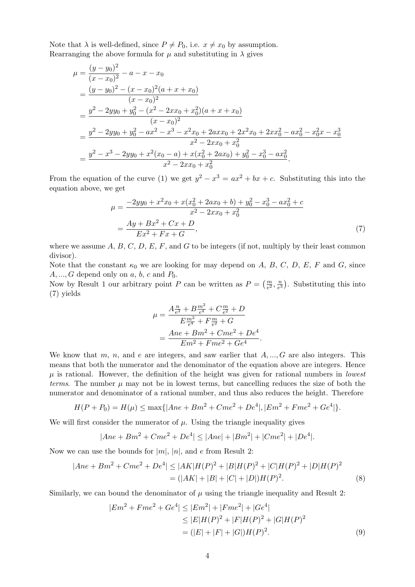Note that  $\lambda$  is well-defined, since  $P \neq P_0$ , i.e.  $x \neq x_0$  by assumption. Rearranging the above formula for  $\mu$  and substituting in  $\lambda$  gives

$$
\mu = \frac{(y - y_0)^2}{(x - x_0)^2} - a - x - x_0
$$
\n
$$
= \frac{(y - y_0)^2 - (x - x_0)^2 (a + x + x_0)}{(x - x_0)^2}
$$
\n
$$
= \frac{y^2 - 2yy_0 + y_0^2 - (x^2 - 2xx_0 + x_0^2)(a + x + x_0)}{(x - x_0)^2}
$$
\n
$$
= \frac{y^2 - 2yy_0 + y_0^2 - ax^2 - x^3 - x^2x_0 + 2axx_0 + 2x^2x_0 + 2xx_0^2 - ax_0^2 - x_0^2x - x_0^3}{x^2 - 2xx_0 + x_0^2}
$$
\n
$$
= \frac{y^2 - x^3 - 2yy_0 + x^2(x_0 - a) + x(x_0^2 + 2ax_0) + y_0^2 - x_0^3 - ax_0^2}{x^2 - 2xx_0 + x_0^2}.
$$

From the equation of the curve (1) we get  $y^2 - x^3 = ax^2 + bx + c$ . Substituting this into the equation above, we get

$$
\mu = \frac{-2yy_0 + x^2x_0 + x(x_0^2 + 2ax_0 + b) + y_0^2 - x_0^3 - ax_0^2 + c}{x^2 - 2xx_0 + x_0^2}
$$

$$
= \frac{Ay + Bx^2 + Cx + D}{Ex^2 + Fx + G}, \tag{7}
$$

where we assume  $A, B, C, D, E, F$ , and G to be integers (if not, multiply by their least common divisor).

Note that the constant  $\kappa_0$  we are looking for may depend on A, B, C, D, E, F and G, since  $A, ..., G$  depend only on a, b, c and  $P_0$ .

Now by Result 1 our arbitrary point P can be written as  $P = \left(\frac{m}{e^2}, \frac{n}{e^2}\right)$  $\frac{n}{e^3}$ ). Substituting this into (7) yields

$$
\mu = \frac{A\frac{n}{e^3} + B\frac{m^2}{e^4} + C\frac{m}{e^2} + D}{E\frac{m^2}{e^4} + F\frac{m}{e^2} + G}
$$

$$
= \frac{Ane + Bm^2 + Cme^2 + De^4}{Em^2 + Fme^2 + Ge^4}.
$$

We know that m, n, and e are integers, and saw earlier that  $A, ..., G$  are also integers. This means that both the numerator and the denominator of the equation above are integers. Hence  $\mu$  is rational. However, the definition of the height was given for rational numbers in lowest terms. The number  $\mu$  may not be in lowest terms, but cancelling reduces the size of both the numerator and denominator of a rational number, and thus also reduces the height. Therefore

$$
H(P + P_0) = H(\mu) \le \max\{|Ane + Bm^2 + Cme^2 + De^4|, |Em^2 + Fme^2 + Ge^4|\}.
$$

We will first consider the numerator of  $\mu$ . Using the triangle inequality gives

$$
|Ane + Bm^2 + Cme^2 + De^4| \le |Ane| + |Bm^2| + |Cme^2| + |De^4|.
$$

Now we can use the bounds for  $|m|, |n|$ , and e from Result 2:

$$
|Ane + Bm2 + Cme2 + De4| \le |AK|H(P)2 + |B|H(P)2 + |C|H(P)2 + |D|H(P)2
$$
  
= (|AK| + |B| + |C| + |D|)H(P)<sup>2</sup>. (8)

Similarly, we can bound the denominator of  $\mu$  using the triangle inequality and Result 2:

$$
|Em^2 + Fme^2 + Ge^4| \le |Em^2| + |Fme^2| + |Ge^4|
$$
  
\n
$$
\le |E|H(P)^2 + |F|H(P)^2 + |G|H(P)^2
$$
  
\n
$$
= (|E| + |F| + |G|)H(P)^2.
$$
\n(9)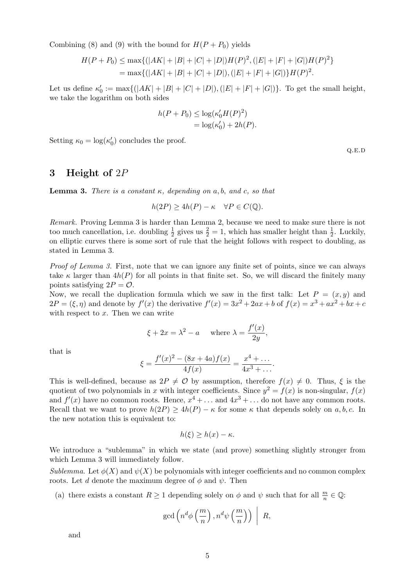Combining (8) and (9) with the bound for  $H(P + P_0)$  yields

$$
H(P + P_0) \le \max\{(|AK| + |B| + |C| + |D|)H(P)^2, (|E| + |F| + |G|)H(P)^2\}
$$
  
= max{(|AK| + |B| + |C| + |D|), (|E| + |F| + |G|)}H(P)^2.

Let us define  $\kappa'_0 := \max\{(|AK| + |B| + |C| + |D|), (|E| + |F| + |G|)\}\$ . To get the small height, we take the logarithm on both sides

$$
h(P + P_0) \le \log(\kappa'_0 H(P)^2)
$$
  
=  $\log(\kappa'_0) + 2h(P).$ 

Setting  $\kappa_0 = \log(\kappa'_0)$  concludes the proof.

3 Height of 2P

**Lemma 3.** There is a constant  $\kappa$ , depending on a, b, and c, so that

$$
h(2P) \ge 4h(P) - \kappa \quad \forall P \in C(\mathbb{Q}).
$$

Remark. Proving Lemma 3 is harder than Lemma 2, because we need to make sure there is not too much cancellation, i.e. doubling  $\frac{1}{2}$  gives us  $\frac{2}{2} = 1$ , which has smaller height than  $\frac{1}{2}$ . Luckily, on elliptic curves there is some sort of rule that the height follows with respect to doubling, as stated in Lemma 3.

Proof of Lemma 3. First, note that we can ignore any finite set of points, since we can always take  $\kappa$  larger than  $4h(P)$  for all points in that finite set. So, we will discard the finitely many points satisfying  $2P = \mathcal{O}$ .

Now, we recall the duplication formula which we saw in the first talk: Let  $P = (x, y)$  and  $2P = (\xi, \eta)$  and denote by  $f'(x)$  the derivative  $f'(x) = 3x^2 + 2ax + b$  of  $f(x) = x^3 + ax^2 + bx + c$ with respect to  $x$ . Then we can write

$$
\xi + 2x = \lambda^2 - a \quad \text{where } \lambda = \frac{f'(x)}{2y},
$$

that is

$$
\xi = \frac{f'(x)^2 - (8x + 4a)f(x)}{4f(x)} = \frac{x^4 + \dots}{4x^3 + \dots}.
$$

This is well-defined, because as  $2P \neq \mathcal{O}$  by assumption, therefore  $f(x) \neq 0$ . Thus,  $\xi$  is the quotient of two polynomials in x with integer coefficients. Since  $y^2 = f(x)$  is non-singular,  $f(x)$ and  $f'(x)$  have no common roots. Hence,  $x^4 + \ldots$  and  $4x^3 + \ldots$  do not have any common roots. Recall that we want to prove  $h(2P) \ge 4h(P) - \kappa$  for some  $\kappa$  that depends solely on a, b, c. In the new notation this is equivalent to:

$$
h(\xi) \ge h(x) - \kappa.
$$

We introduce a "sublemma" in which we state (and prove) something slightly stronger from which Lemma 3 will immediately follow.

Sublemma. Let  $\phi(X)$  and  $\psi(X)$  be polynomials with integer coefficients and no common complex roots. Let d denote the maximum degree of  $\phi$  and  $\psi$ . Then

(a) there exists a constant  $R \geq 1$  depending solely on  $\phi$  and  $\psi$  such that for all  $\frac{m}{n} \in \mathbb{Q}$ :

$$
\gcd\left(n^d\phi\left(\frac{m}{n}\right),n^d\psi\left(\frac{m}{n}\right)\right)\Big| R,
$$

and

Q.E.D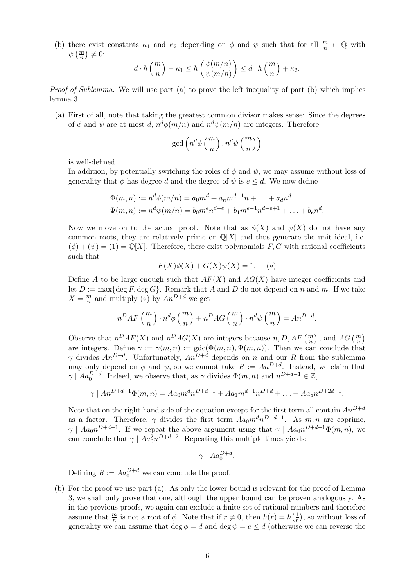(b) there exist constants  $\kappa_1$  and  $\kappa_2$  depending on  $\phi$  and  $\psi$  such that for all  $\frac{m}{n} \in \mathbb{Q}$  with  $\psi\left(\frac{m}{n}\right)\neq 0$ :

$$
d \cdot h\left(\frac{m}{n}\right) - \kappa_1 \le h\left(\frac{\phi(m/n)}{\psi(m/n)}\right) \le d \cdot h\left(\frac{m}{n}\right) + \kappa_2.
$$

Proof of Sublemma. We will use part (a) to prove the left inequality of part (b) which implies lemma 3.

(a) First of all, note that taking the greatest common divisor makes sense: Since the degrees of  $\phi$  and  $\psi$  are at most d,  $n^d\phi(m/n)$  and  $n^d\psi(m/n)$  are integers. Therefore

$$
\gcd\left(n^d\phi\left(\frac{m}{n}\right),n^d\psi\left(\frac{m}{n}\right)\right)
$$

is well-defined.

In addition, by potentially switching the roles of  $\phi$  and  $\psi$ , we may assume without loss of generality that  $\phi$  has degree d and the degree of  $\psi$  is  $e \leq d$ . We now define

$$
\Phi(m,n) := n^d \phi(m/n) = a_0 m^d + a_n m^{d-1} n + \dots + a_d n^d
$$
  

$$
\Psi(m,n) := n^d \psi(m/n) = b_0 m^e n^{d-e} + b_1 m^{e-1} n^{d-e+1} + \dots + b_e n^d.
$$

Now we move on to the actual proof. Note that as  $\phi(X)$  and  $\psi(X)$  do not have any common roots, they are relatively prime on  $\mathbb{Q}[X]$  and thus generate the unit ideal, i.e.  $(\phi) + (\psi) = (1) = \mathbb{Q}[X]$ . Therefore, there exist polynomials F, G with rational coefficients such that

$$
F(X)\phi(X) + G(X)\psi(X) = 1. \quad (*)
$$

Define A to be large enough such that  $AF(X)$  and  $AG(X)$  have integer coefficients and let  $D := \max\{\deg F, \deg G\}$ . Remark that A and D do not depend on n and m. If we take  $X = \frac{m}{n}$  $\frac{m}{n}$  and multiply (\*) by  $An^{D+d}$  we get

$$
n^{D}AF\left(\frac{m}{n}\right) \cdot n^{d}\phi\left(\frac{m}{n}\right) + n^{D}AG\left(\frac{m}{n}\right) \cdot n^{d}\psi\left(\frac{m}{n}\right) = An^{D+d}.
$$

Observe that  $n^DAF(X)$  and  $n^DAG(X)$  are integers because  $n, D, AF\left(\frac{m}{n}\right)$ , and  $AG\left(\frac{m}{n}\right)$ are integers. Define  $\gamma := \gamma(m, n) := \gcd(\Phi(m, n), \Psi(m, n))$ . Then we can conclude that  $\gamma$  divides  $An^{D+d}$ . Unfortunately,  $An^{D+d}$  depends on n and our R from the sublemma may only depend on  $\phi$  and  $\psi$ , so we cannot take  $R := An^{D+d}$ . Instead, we claim that  $\gamma \mid Aa_0^{D+d}$ . Indeed, we observe that, as  $\gamma$  divides  $\Phi(m, n)$  and  $n^{D+d-1} \in \mathbb{Z}$ ,

$$
\gamma \mid An^{D+d-1}\Phi(m,n) = Aa_0m^dn^{D+d-1} + Aa_1m^{d-1}n^{D+d} + \ldots + Aa_dn^{D+2d-1}.
$$

Note that on the right-hand side of the equation except for the first term all contain  $An^{D+d}$ as a factor. Therefore,  $\gamma$  divides the first term  $Aa_0m^dn^{D+d-1}$ . As  $m, n$  are coprime,  $\gamma \mid Aa_0n^{D+d-1}$ . If we repeat the above argument using that  $\gamma \mid Aa_0n^{D+d-1}\Phi(m,n)$ , we can conclude that  $\gamma \mid A a_0^2 n^{D+d-2}$ . Repeating this multiple times yields:

$$
\gamma \mid Aa_0^{D+d}.
$$

Defining  $R := Aa_0^{D+d}$  we can conclude the proof.

(b) For the proof we use part (a). As only the lower bound is relevant for the proof of Lemma 3, we shall only prove that one, although the upper bound can be proven analogously. As in the previous proofs, we again can exclude a finite set of rational numbers and therefore assume that  $\frac{m}{n}$  is not a root of  $\phi$ . Note that if  $r \neq 0$ , then  $h(r) = h\left(\frac{1}{r}\right)$  $(\frac{1}{r}),$  so without loss of generality we can assume that deg  $\phi = d$  and deg  $\psi = e \leq d$  (otherwise we can reverse the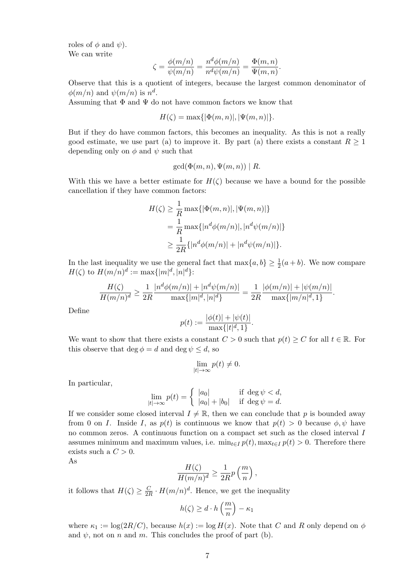roles of  $\phi$  and  $\psi$ ). We can write

$$
\zeta = \frac{\phi(m/n)}{\psi(m/n)} = \frac{n^d \phi(m/n)}{n^d \psi(m/n)} = \frac{\Phi(m,n)}{\Psi(m,n)}.
$$

Observe that this is a quotient of integers, because the largest common denominator of  $\phi(m/n)$  and  $\psi(m/n)$  is  $n^d$ .

Assuming that  $\Phi$  and  $\Psi$  do not have common factors we know that

$$
H(\zeta) = \max\{|\Phi(m, n)|, |\Psi(m, n)|\}.
$$

But if they do have common factors, this becomes an inequality. As this is not a really good estimate, we use part (a) to improve it. By part (a) there exists a constant  $R \geq 1$ depending only on  $\phi$  and  $\psi$  such that

$$
\gcd(\Phi(m,n),\Psi(m,n)) \mid R.
$$

With this we have a better estimate for  $H(\zeta)$  because we have a bound for the possible cancellation if they have common factors:

$$
H(\zeta) \ge \frac{1}{R} \max\{ |\Phi(m, n)|, |\Psi(m, n)| \}
$$
  
=  $\frac{1}{R} \max\{ |n^d \phi(m/n)|, |n^d \psi(m/n)| \}$   
 $\ge \frac{1}{2R} \{ |n^d \phi(m/n)| + |n^d \psi(m/n)| \}.$ 

In the last inequality we use the general fact that  $\max\{a, b\} \geq \frac{1}{2}(a+b)$ . We now compare  $H(\zeta)$  to  $H(m/n)^d := \max\{|m|^d, |n|^d\}$ :

$$
\frac{H(\zeta)}{H(m/n)^d} \ge \frac{1}{2R} \frac{|n^d \phi(m/n)| + |n^d \psi(m/n)|}{\max\{|m|^d, |n|^d\}} = \frac{1}{2R} \frac{|\phi(m/n)| + |\psi(m/n)|}{\max\{|m/n|^d, 1\}}.
$$

Define

$$
p(t) := \frac{|\phi(t)| + |\psi(t)|}{\max\{|t|^d, 1\}}.
$$

We want to show that there exists a constant  $C > 0$  such that  $p(t) \geq C$  for all  $t \in \mathbb{R}$ . For this observe that deg  $\phi = d$  and deg  $\psi \leq d$ , so

$$
\lim_{|t|\to\infty} p(t) \neq 0.
$$

In particular,

$$
\lim_{|t| \to \infty} p(t) = \begin{cases} |a_0| & \text{if } \deg \psi < d, \\ |a_0| + |b_0| & \text{if } \deg \psi = d. \end{cases}
$$

If we consider some closed interval  $I \neq \mathbb{R}$ , then we can conclude that p is bounded away from 0 on I. Inside I, as  $p(t)$  is continuous we know that  $p(t) > 0$  because  $\phi, \psi$  have no common zeros. A continuous function on a compact set such as the closed interval I assumes minimum and maximum values, i.e.  $\min_{t\in I} p(t)$ ,  $\max_{t\in I} p(t) > 0$ . Therefore there exists such a  $C > 0$ .

As

$$
\frac{H(\zeta)}{H(m/n)^d} \ge \frac{1}{2R}p\left(\frac{m}{n}\right),\,
$$

it follows that  $H(\zeta) \geq \frac{C}{2l}$  $\frac{C}{2R} \cdot H(m/n)^d$ . Hence, we get the inequality

$$
h(\zeta) \ge d \cdot h\left(\frac{m}{n}\right) - \kappa_1
$$

where  $\kappa_1 := \log(2R/C)$ , because  $h(x) := \log H(x)$ . Note that C and R only depend on  $\phi$ and  $\psi$ , not on *n* and *m*. This concludes the proof of part (b).